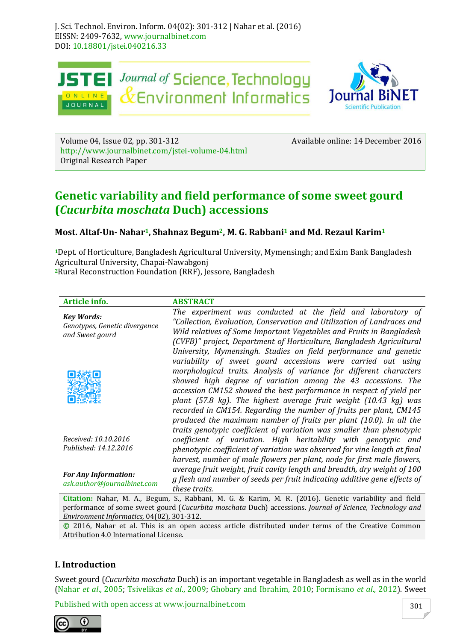

Volume 04, Issue 02, pp. 301-312 Available online: 14 December 2016 http://www.journalbinet.com/jstei-volume-04.html Original Research Paper

# **Genetic variability and field performance of some sweet gourd (***Cucurbita moschata* **Duch) accessions**

# **Most. Altaf-Un- Nahar1, Shahnaz Begum2, M. G. Rabbani<sup>1</sup> and Md. Rezaul Karim<sup>1</sup>**

**<sup>1</sup>**Dept. of Horticulture, Bangladesh Agricultural University, Mymensingh; and Exim Bank Bangladesh Agricultural University, Chapai-Nawabgonj **<sup>2</sup>**Rural Reconstruction Foundation (RRF), Jessore, Bangladesh

#### **Article info. ABSTRACT**

| <b>Key Words:</b><br>Genotypes, Genetic divergence<br>and Sweet gourd | The experiment was conducted at the field and laboratory of<br>"Collection, Evaluation, Conservation and Utilization of Landraces and<br>Wild relatives of Some Important Vegetables and Fruits in Bangladesh<br>(CVFB)" project, Department of Horticulture, Bangladesh Agricultural                                                                                                                                                                                                                                                                          |
|-----------------------------------------------------------------------|----------------------------------------------------------------------------------------------------------------------------------------------------------------------------------------------------------------------------------------------------------------------------------------------------------------------------------------------------------------------------------------------------------------------------------------------------------------------------------------------------------------------------------------------------------------|
|                                                                       | University, Mymensingh. Studies on field performance and genetic<br>variability of sweet gourd accessions were carried out using<br>morphological traits. Analysis of variance for different characters<br>showed high degree of variation among the 43 accessions. The<br>accession CM152 showed the best performance in respect of yield per<br>plant (57.8 kg). The highest average fruit weight (10.43 kg) was<br>recorded in CM154. Regarding the number of fruits per plant, CM145<br>produced the maximum number of fruits per plant (10.0). In all the |
| Received: 10.10.2016<br>Published: 14.12.2016                         | traits genotypic coefficient of variation was smaller than phenotypic<br>coefficient of variation. High heritability with genotypic and<br>phenotypic coefficient of variation was observed for vine length at final<br>harvest, number of male flowers per plant, node for first male flowers,                                                                                                                                                                                                                                                                |
| <b>For Any Information:</b><br>ask.author@journalbinet.com            | average fruit weight, fruit cavity length and breadth, dry weight of 100<br>g flesh and number of seeds per fruit indicating additive gene effects of<br>these traits.                                                                                                                                                                                                                                                                                                                                                                                         |

**Citation:** Nahar, M. A., Begum, S., Rabbani, M. G. & Karim, M. R. (2016). Genetic variability and field performance of some sweet gourd (*Cucurbita moschata* Duch) accessions. *Journal of Science, Technology and Environment Informatics*, 04(02), 301-312.

**©** 2016, Nahar et al. This is an open access article distributed under terms of the Creative Common Attribution 4.0 International License.

# **I. Introduction**

Sweet gourd (*Cucurbita moschata* Duch) is an important vegetable in Bangladesh as well as in the world (Nahar *et al*., 2005; Tsivelikas *et al*., 2009; Ghobary and Ibrahim, 2010; Formisano *et al*., 2012). Sweet

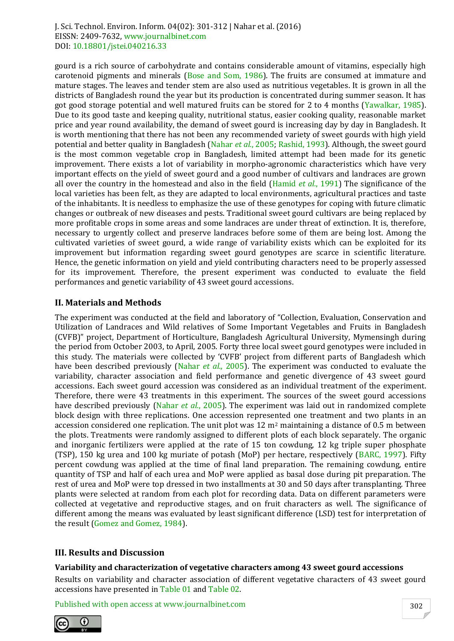gourd is a rich source of carbohydrate and contains considerable amount of vitamins, especially high carotenoid pigments and minerals (Bose and Som, 1986). The fruits are consumed at immature and mature stages. The leaves and tender stem are also used as nutritious vegetables. It is grown in all the districts of Bangladesh round the year but its production is concentrated during summer season. It has got good storage potential and well matured fruits can be stored for 2 to 4 months (Yawalkar, 1985). Due to its good taste and keeping quality, nutritional status, easier cooking quality, reasonable market price and year round availability, the demand of sweet gourd is increasing day by day in Bangladesh. It is worth mentioning that there has not been any recommended variety of sweet gourds with high yield potential and better quality in Bangladesh (Nahar *et al.*, 2005; Rashid, 1993). Although, the sweet gourd is the most common vegetable crop in Bangladesh, limited attempt had been made for its genetic improvement. There exists a lot of variability in morpho-agronomic characteristics which have very important effects on the yield of sweet gourd and a good number of cultivars and landraces are grown all over the country in the homestead and also in the field (Hamid *et al.*, 1991) The significance of the local varieties has been felt, as they are adapted to local environments, agricultural practices and taste of the inhabitants. It is needless to emphasize the use of these genotypes for coping with future climatic changes or outbreak of new diseases and pests. Traditional sweet gourd cultivars are being replaced by more profitable crops in some areas and some landraces are under threat of extinction. It is, therefore, necessary to urgently collect and preserve landraces before some of them are being lost. Among the cultivated varieties of sweet gourd, a wide range of variability exists which can be exploited for its improvement but information regarding sweet gourd genotypes are scarce in scientific literature. Hence, the genetic information on yield and yield contributing characters need to be properly assessed for its improvement. Therefore, the present experiment was conducted to evaluate the field performances and genetic variability of 43 sweet gourd accessions.

# **II. Materials and Methods**

The experiment was conducted at the field and laboratory of "Collection, Evaluation, Conservation and Utilization of Landraces and Wild relatives of Some Important Vegetables and Fruits in Bangladesh (CVFB)" project, Department of Horticulture, Bangladesh Agricultural University, Mymensingh during the period from October 2003, to April, 2005. Forty three local sweet gourd genotypes were included in this study. The materials were collected by 'CVFB' project from different parts of Bangladesh which have been described previously (Nahar *et al.*, 2005). The experiment was conducted to evaluate the variability, character association and field performance and genetic divergence of 43 sweet gourd accessions. Each sweet gourd accession was considered as an individual treatment of the experiment. Therefore, there were 43 treatments in this experiment. The sources of the sweet gourd accessions have described previously (Nahar *et al.*, 2005). The experiment was laid out in randomized complete block design with three replications. One accession represented one treatment and two plants in an accession considered one replication. The unit plot was  $12 \text{ m}^2$  maintaining a distance of 0.5 m between the plots. Treatments were randomly assigned to different plots of each block separately. The organic and inorganic fertilizers were applied at the rate of 15 ton cowdung, 12 kg triple super phosphate (TSP), 150 kg urea and 100 kg muriate of potash (MoP) per hectare, respectively (BARC, 1997). Fifty percent cowdung was applied at the time of final land preparation. The remaining cowdung, entire quantity of TSP and half of each urea and MoP were applied as basal dose during pit preparation. The rest of urea and MoP were top dressed in two installments at 30 and 50 days after transplanting. Three plants were selected at random from each plot for recording data. Data on different parameters were collected at vegetative and reproductive stages, and on fruit characters as well. The significance of different among the means was evaluated by least significant difference (LSD) test for interpretation of the result (Gomez and Gomez, 1984).

# **III. Results and Discussion**

#### **Variability and characterization of vegetative characters among 43 sweet gourd accessions**

Results on variability and character association of different vegetative characters of 43 sweet gourd accessions have presented in Table 01 and Table 02.

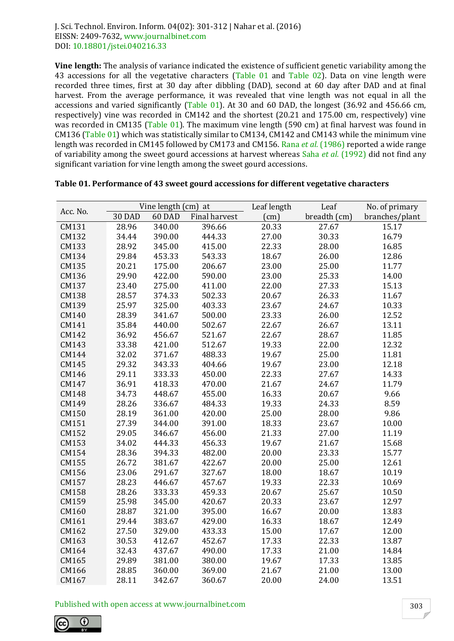**Vine length:** The analysis of variance indicated the existence of sufficient genetic variability among the 43 accessions for all the vegetative characters (Table 01 and Table 02). Data on vine length were recorded three times, first at 30 day after dibbling (DAD), second at 60 day after DAD and at final harvest. From the average performance, it was revealed that vine length was not equal in all the accessions and varied significantly (Table 01). At 30 and 60 DAD, the longest (36.92 and 456.66 cm, respectively) vine was recorded in CM142 and the shortest (20.21 and 175.00 cm, respectively) vine was recorded in CM135 (Table 01). The maximum vine length (590 cm) at final harvest was found in CM136 (Table 01) which was statistically similar to CM134, CM142 and CM143 while the minimum vine length was recorded in CM145 followed by CM173 and CM156. Rana *et al.* (1986) reported a wide range of variability among the sweet gourd accessions at harvest whereas Saha *et al.* (1992) did not find any significant variation for vine length among the sweet gourd accessions.

| Acc. No. |               | Vine length (cm) at |               | Leaf length | Leaf         | No. of primary |
|----------|---------------|---------------------|---------------|-------------|--------------|----------------|
|          | <b>30 DAD</b> | 60 DAD              | Final harvest | (cm)        | breadth (cm) | branches/plant |
| CM131    | 28.96         | 340.00              | 396.66        | 20.33       | 27.67        | 15.17          |
| CM132    | 34.44         | 390.00              | 444.33        | 27.00       | 30.33        | 16.79          |
| CM133    | 28.92         | 345.00              | 415.00        | 22.33       | 28.00        | 16.85          |
| CM134    | 29.84         | 453.33              | 543.33        | 18.67       | 26.00        | 12.86          |
| CM135    | 20.21         | 175.00              | 206.67        | 23.00       | 25.00        | 11.77          |
| CM136    | 29.90         | 422.00              | 590.00        | 23.00       | 25.33        | 14.00          |
| CM137    | 23.40         | 275.00              | 411.00        | 22.00       | 27.33        | 15.13          |
| CM138    | 28.57         | 374.33              | 502.33        | 20.67       | 26.33        | 11.67          |
| CM139    | 25.97         | 325.00              | 403.33        | 23.67       | 24.67        | 10.33          |
| CM140    | 28.39         | 341.67              | 500.00        | 23.33       | 26.00        | 12.52          |
| CM141    | 35.84         | 440.00              | 502.67        | 22.67       | 26.67        | 13.11          |
| CM142    | 36.92         | 456.67              | 521.67        | 22.67       | 28.67        | 11.85          |
| CM143    | 33.38         | 421.00              | 512.67        | 19.33       | 22.00        | 12.32          |
| CM144    | 32.02         | 371.67              | 488.33        | 19.67       | 25.00        | 11.81          |
| CM145    | 29.32         | 343.33              | 404.66        | 19.67       | 23.00        | 12.18          |
| CM146    | 29.11         | 333.33              | 450.00        | 22.33       | 27.67        | 14.33          |
| CM147    | 36.91         | 418.33              | 470.00        | 21.67       | 24.67        | 11.79          |
| CM148    | 34.73         | 448.67              | 455.00        | 16.33       | 20.67        | 9.66           |
| CM149    | 28.26         | 336.67              | 484.33        | 19.33       | 24.33        | 8.59           |
| CM150    | 28.19         | 361.00              | 420.00        | 25.00       | 28.00        | 9.86           |
| CM151    | 27.39         | 344.00              | 391.00        | 18.33       | 23.67        | 10.00          |
| CM152    | 29.05         | 346.67              | 456.00        | 21.33       | 27.00        | 11.19          |
| CM153    | 34.02         | 444.33              | 456.33        | 19.67       | 21.67        | 15.68          |
| CM154    | 28.36         | 394.33              | 482.00        | 20.00       | 23.33        | 15.77          |
| CM155    | 26.72         | 381.67              | 422.67        | 20.00       | 25.00        | 12.61          |
| CM156    | 23.06         | 291.67              | 327.67        | 18.00       | 18.67        | 10.19          |
| CM157    | 28.23         | 446.67              | 457.67        | 19.33       | 22.33        | 10.69          |
| CM158    | 28.26         | 333.33              | 459.33        | 20.67       | 25.67        | 10.50          |
| CM159    | 25.98         | 345.00              | 420.67        | 20.33       | 23.67        | 12.97          |
| CM160    | 28.87         | 321.00              | 395.00        | 16.67       | 20.00        | 13.83          |
| CM161    | 29.44         | 383.67              | 429.00        | 16.33       | 18.67        | 12.49          |
| CM162    | 27.50         | 329.00              | 433.33        | 15.00       | 17.67        | 12.00          |
| CM163    | 30.53         | 412.67              | 452.67        | 17.33       | 22.33        | 13.87          |
| CM164    | 32.43         | 437.67              | 490.00        | 17.33       | 21.00        | 14.84          |
| CM165    | 29.89         | 381.00              | 380.00        | 19.67       | 17.33        | 13.85          |
| CM166    | 28.85         | 360.00              | 369.00        | 21.67       | 21.00        | 13.00          |
| CM167    | 28.11         | 342.67              | 360.67        | 20.00       | 24.00        | 13.51          |

#### **Table 01. Performance of 43 sweet gourd accessions for different vegetative characters**

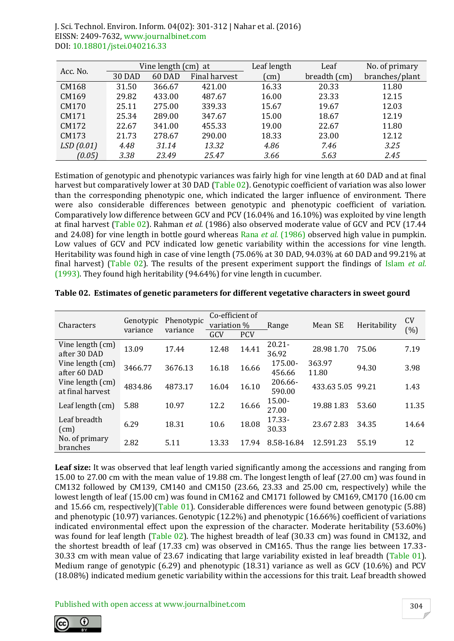| Acc. No.  |               | Vine length (cm) at |               | Leaf length | Leaf         | No. of primary |
|-----------|---------------|---------------------|---------------|-------------|--------------|----------------|
|           | <b>30 DAD</b> | 60 DAD              | Final harvest | (cm)        | breadth (cm) | branches/plant |
| CM168     | 31.50         | 366.67              | 421.00        | 16.33       | 20.33        | 11.80          |
| CM169     | 29.82         | 433.00              | 487.67        | 16.00       | 23.33        | 12.15          |
| CM170     | 25.11         | 275.00              | 339.33        | 15.67       | 19.67        | 12.03          |
| CM171     | 25.34         | 289.00              | 347.67        | 15.00       | 18.67        | 12.19          |
| CM172     | 22.67         | 341.00              | 455.33        | 19.00       | 22.67        | 11.80          |
| CM173     | 21.73         | 278.67              | 290.00        | 18.33       | 23.00        | 12.12          |
| LSD(0.01) | 4.48          | 31.14               | 13.32         | 4.86        | 7.46         | 3.25           |
| (0.05)    | 3.38          | 23.49               | 25.47         | 3.66        | 5.63         | 2.45           |

Estimation of genotypic and phenotypic variances was fairly high for vine length at 60 DAD and at final harvest but comparatively lower at 30 DAD (Table 02). Genotypic coefficient of variation was also lower than the corresponding phenotypic one, which indicated the larger influence of environment. There were also considerable differences between genotypic and phenotypic coefficient of variation. Comparatively low difference between GCV and PCV (16.04% and 16.10%) was exploited by vine length at final harvest (Table 02). Rahman *et al.* (1986) also observed moderate value of GCV and PCV (17.44 and 24.08) for vine length in bottle gourd whereas Rana *et al.* (1986) observed high value in pumpkin. Low values of GCV and PCV indicated low genetic variability within the accessions for vine length. Heritability was found high in case of vine length (75.06% at 30 DAD, 94.03% at 60 DAD and 99.21% at final harvest) (Table 02). The results of the present experiment support the findings of Islam *et al.* (1993). They found high heritability (94.64%) for vine length in cucumber.

| Characters                           | Genotypic<br>variance | Phenotypic<br>variance | Co-efficient of<br>variation % |            | Range              | Mean SE           | Heritability | <b>CV</b><br>(%) |  |
|--------------------------------------|-----------------------|------------------------|--------------------------------|------------|--------------------|-------------------|--------------|------------------|--|
|                                      |                       |                        | GCV                            | <b>PCV</b> |                    |                   |              |                  |  |
| Vine length (cm)<br>after 30 DAD     | 13.09                 | 17.44                  | 12.48                          | 14.41      | $20.21 -$<br>36.92 | 28.98 1.70        | 75.06        | 7.19             |  |
| Vine length (cm)<br>after 60 DAD     | 3466.77               | 3676.13                | 16.18                          | 16.66      | 175.00-<br>456.66  | 363.97<br>11.80   | 94.30        | 3.98             |  |
| Vine length (cm)<br>at final harvest | 4834.86               | 4873.17                | 16.04                          | 16.10      | 206.66-<br>590.00  | 433.63 5.05 99.21 |              | 1.43             |  |
| Leaf length (cm)                     | 5.88                  | 10.97                  | 12.2                           | 16.66      | $15.00 -$<br>27.00 | 19.88 1.83        | 53.60        | 11.35            |  |
| Leaf breadth<br>(cm)                 | 6.29                  | 18.31                  | 10.6                           | 18.08      | $17.33 -$<br>30.33 | 23.67 2.83        | 34.35        | 14.64            |  |
| No. of primary<br>branches           | 2.82                  | 5.11                   | 13.33                          | 17.94      | 8.58-16.84         | 12.591.23         | 55.19        | 12               |  |

**Table 02. Estimates of genetic parameters for different vegetative characters in sweet gourd**

**Leaf size:** It was observed that leaf length varied significantly among the accessions and ranging from 15.00 to 27.00 cm with the mean value of 19.88 cm. The longest length of leaf (27.00 cm) was found in CM132 followed by CM139, CM140 and CM150 (23.66, 23.33 and 25.00 cm, respectively) while the lowest length of leaf (15.00 cm) was found in CM162 and CM171 followed by CM169, CM170 (16.00 cm and 15.66 cm, respectively)(Table 01). Considerable differences were found between genotypic (5.88) and phenotypic (10.97) variances. Genotypic (12.2%) and phenotypic (16.66%) coefficient of variations indicated environmental effect upon the expression of the character. Moderate heritability (53.60%) was found for leaf length (Table 02). The highest breadth of leaf (30.33 cm) was found in CM132, and the shortest breadth of leaf (17.33 cm) was observed in CM165. Thus the range lies between 17.33- 30.33 cm with mean value of 23.67 indicating that large variability existed in leaf breadth (Table 01). Medium range of genotypic (6.29) and phenotypic (18.31) variance as well as GCV (10.6%) and PCV (18.08%) indicated medium genetic variability within the accessions for this trait. Leaf breadth showed

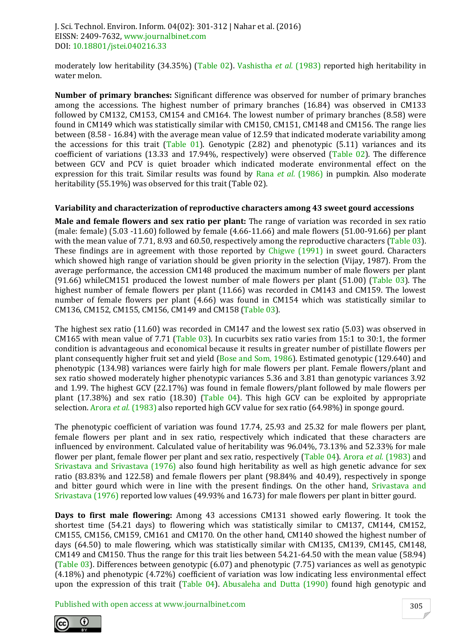moderately low heritability (34.35%) (Table 02). Vashistha *et al.* (1983) reported high heritability in water melon.

**Number of primary branches:** Significant difference was observed for number of primary branches among the accessions. The highest number of primary branches (16.84) was observed in CM133 followed by CM132, CM153, CM154 and CM164. The lowest number of primary branches (8.58) were found in CM149 which was statistically similar with CM150, CM151, CM148 and CM156. The range lies between (8.58 - 16.84) with the average mean value of 12.59 that indicated moderate variability among the accessions for this trait (Table 01). Genotypic (2.82) and phenotypic (5.11) variances and its coefficient of variations (13.33 and 17.94%, respectively) were observed (Table 02). The difference between GCV and PCV is quiet broader which indicated moderate environmental effect on the expression for this trait. Similar results was found by Rana *et al.* (1986) in pumpkin. Also moderate heritability (55.19%) was observed for this trait (Table 02).

#### **Variability and characterization of reproductive characters among 43 sweet gourd accessions**

**Male and female flowers and sex ratio per plant:** The range of variation was recorded in sex ratio (male: female) (5.03 -11.60) followed by female (4.66-11.66) and male flowers (51.00-91.66) per plant with the mean value of 7.71, 8.93 and 60.50, respectively among the reproductive characters (Table 03). These findings are in agreement with those reported by Chigwe (1991) in sweet gourd. Characters which showed high range of variation should be given priority in the selection (Vijay, 1987). From the average performance, the accession CM148 produced the maximum number of male flowers per plant (91.66) whileCM151 produced the lowest number of male flowers per plant (51.00) (Table 03). The highest number of female flowers per plant (11.66) was recorded in CM143 and CM159. The lowest number of female flowers per plant (4.66) was found in CM154 which was statistically similar to CM136, CM152, CM155, CM156, CM149 and CM158 (Table 03).

The highest sex ratio (11.60) was recorded in CM147 and the lowest sex ratio (5.03) was observed in CM165 with mean value of 7.71 (Table 03). In cucurbits sex ratio varies from 15:1 to 30:1, the former condition is advantageous and economical because it results in greater number of pistillate flowers per plant consequently higher fruit set and yield (Bose and Som, 1986). Estimated genotypic (129.640) and phenotypic (134.98) variances were fairly high for male flowers per plant. Female flowers/plant and sex ratio showed moderately higher phenotypic variances 5.36 and 3.81 than genotypic variances 3.92 and 1.99. The highest GCV (22.17%) was found in female flowers/plant followed by male flowers per plant (17.38%) and sex ratio (18.30) (Table 04). This high GCV can be exploited by appropriate selection. Arora *et al.* (1983) also reported high GCV value for sex ratio (64.98%) in sponge gourd.

The phenotypic coefficient of variation was found 17.74, 25.93 and 25.32 for male flowers per plant, female flowers per plant and in sex ratio, respectively which indicated that these characters are influenced by environment. Calculated value of heritability was 96.04%, 73.13% and 52.33% for male flower per plant, female flower per plant and sex ratio, respectively (Table 04). Arora *et al.* (1983) and Srivastava and Srivastava (1976) also found high heritability as well as high genetic advance for sex ratio (83.83% and 122.58) and female flowers per plant (98.84% and 40.49), respectively in sponge and bitter gourd which were in line with the present findings. On the other hand, Srivastava and Srivastava (1976) reported low values (49.93% and 16.73) for male flowers per plant in bitter gourd.

**Days to first male flowering:** Among 43 accessions CM131 showed early flowering. It took the shortest time (54.21 days) to flowering which was statistically similar to CM137, CM144, CM152, CM155, CM156, CM159, CM161 and CM170. On the other hand, CM140 showed the highest number of days (64.50) to male flowering, which was statistically similar with CM135, CM139, CM145, CM148, CM149 and CM150. Thus the range for this trait lies between 54.21-64.50 with the mean value (58.94) (Table 03). Differences between genotypic (6.07) and phenotypic (7.75) variances as well as genotypic (4.18%) and phenotypic (4.72%) coefficient of variation was low indicating less environmental effect upon the expression of this trait (Table 04). Abusaleha and Dutta (1990) found high genotypic and

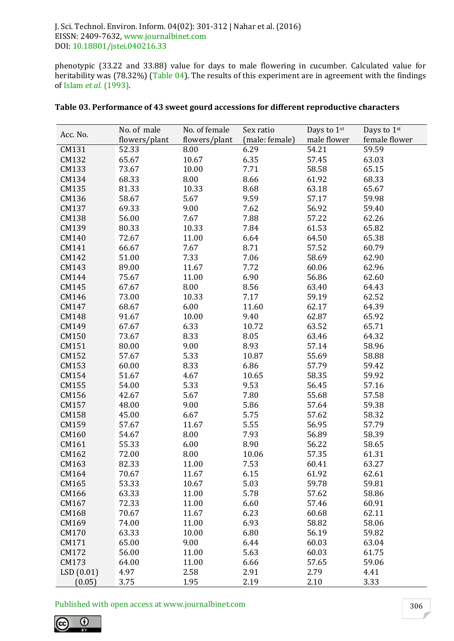phenotypic (33.22 and 33.88) value for days to male flowering in cucumber. Calculated value for heritability was (78.32%) (Table 04). The results of this experiment are in agreement with the findings of Islam *et al.* (1993).

|           | No. of male   | No. of female | Sex ratio      | Days to 1st | Days to 1st   |
|-----------|---------------|---------------|----------------|-------------|---------------|
| Acc. No.  | flowers/plant | flowers/plant | (male: female) | male flower | female flower |
| CM131     | 52.33         | 8.00          | 6.29           | 54.21       | 59.59         |
| CM132     | 65.67         | 10.67         | 6.35           | 57.45       | 63.03         |
| CM133     | 73.67         | 10.00         | 7.71           | 58.58       | 65.15         |
| CM134     | 68.33         | 8.00          | 8.66           | 61.92       | 68.33         |
| CM135     | 81.33         | 10.33         | 8.68           | 63.18       | 65.67         |
| CM136     | 58.67         | 5.67          | 9.59           | 57.17       | 59.98         |
| CM137     | 69.33         | 9.00          | 7.62           | 56.92       | 59.40         |
| CM138     | 56.00         | 7.67          | 7.88           | 57.22       | 62.26         |
| CM139     | 80.33         | 10.33         | 7.84           | 61.53       | 65.82         |
| CM140     | 72.67         | 11.00         | 6.64           | 64.50       | 65.38         |
| CM141     | 66.67         | 7.67          | 8.71           | 57.52       | 60.79         |
| CM142     | 51.00         | 7.33          | 7.06           | 58.69       | 62.90         |
| CM143     | 89.00         | 11.67         | 7.72           | 60.06       | 62.96         |
| CM144     | 75.67         | 11.00         | 6.90           | 56.86       | 62.60         |
| CM145     | 67.67         | 8.00          | 8.56           | 63.40       | 64.43         |
| CM146     | 73.00         | 10.33         | 7.17           | 59.19       | 62.52         |
| CM147     | 68.67         | 6.00          | 11.60          | 62.17       | 64.39         |
| CM148     | 91.67         | 10.00         | 9.40           | 62.87       | 65.92         |
| CM149     | 67.67         | 6.33          | 10.72          | 63.52       | 65.71         |
| CM150     | 73.67         | 8.33          | 8.05           | 63.46       | 64.32         |
| CM151     | 80.00         | 9.00          | 8.93           | 57.14       | 58.96         |
| CM152     | 57.67         | 5.33          | 10.87          | 55.69       | 58.88         |
| CM153     | 60.00         | 8.33          | 6.86           | 57.79       | 59.42         |
| CM154     | 51.67         | 4.67          | 10.65          | 58.35       | 59.92         |
| CM155     | 54.00         | 5.33          | 9.53           | 56.45       | 57.16         |
| CM156     | 42.67         | 5.67          | 7.80           | 55.68       | 57.58         |
| CM157     | 48.00         | 9.00          | 5.86           | 57.64       | 59.38         |
| CM158     | 45.00         | 6.67          | 5.75           | 57.62       | 58.32         |
| CM159     | 57.67         | 11.67         | 5.55           | 56.95       | 57.79         |
| CM160     | 54.67         | 8.00          | 7.93           | 56.89       | 58.39         |
| CM161     | 55.33         | 6.00          | 8.90           | 56.22       | 58.65         |
| CM162     | 72.00         | 8.00          | 10.06          | 57.35       | 61.31         |
| CM163     | 82.33         | 11.00         | 7.53           | 60.41       | 63.27         |
| CM164     | 70.67         | 11.67         | 6.15           | 61.92       | 62.61         |
| CM165     | 53.33         | 10.67         | 5.03           | 59.78       | 59.81         |
| CM166     | 63.33         | 11.00         | 5.78           | 57.62       | 58.86         |
| CM167     | 72.33         | 11.00         | 6.60           | 57.46       | 60.91         |
| CM168     | 70.67         | 11.67         | 6.23           | 60.68       | 62.11         |
| CM169     | 74.00         | 11.00         | 6.93           | 58.82       | 58.06         |
| CM170     | 63.33         | 10.00         | 6.80           | 56.19       | 59.82         |
| CM171     | 65.00         | 9.00          | 6.44           | 60.03       | 63.04         |
| CM172     | 56.00         | 11.00         | 5.63           | 60.03       | 61.75         |
| CM173     | 64.00         | 11.00         | 6.66           | 57.65       | 59.06         |
| LSD(0.01) | 4.97          | 2.58          | 2.91           | 2.79        | 4.41          |
| (0.05)    | 3.75          | 1.95          | 2.19           | 2.10        | 3.33          |

| Table 03. Performance of 43 sweet gourd accessions for different reproductive characters |
|------------------------------------------------------------------------------------------|
|------------------------------------------------------------------------------------------|

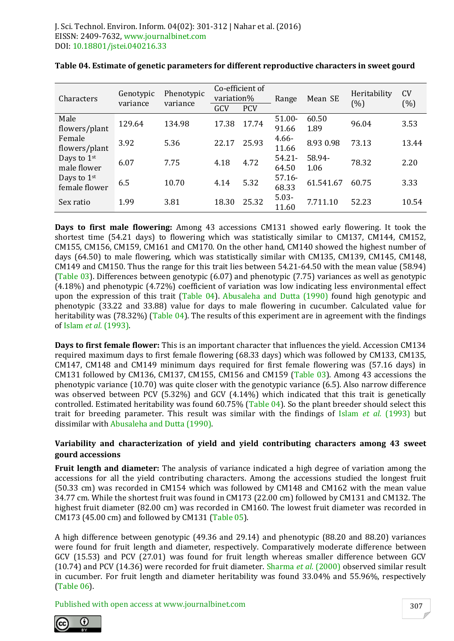| Characters                               | Genotypic<br>variance | Phenotypic<br>variance |       | Co-efficient of<br>variation% |                    | Mean SE        | Heritability<br>(%) | <b>CV</b><br>(%) |  |
|------------------------------------------|-----------------------|------------------------|-------|-------------------------------|--------------------|----------------|---------------------|------------------|--|
|                                          |                       |                        | GCV   | <b>PCV</b>                    |                    |                |                     |                  |  |
| Male<br>flowers/plant                    | 129.64                | 134.98                 | 17.38 | 17.74                         | $51.00 -$<br>91.66 | 60.50<br>1.89  | 96.04               | 3.53             |  |
| Female<br>flowers/plant                  | 3.92                  | 5.36                   | 22.17 | 25.93                         | $4.66 -$<br>11.66  | 8.93 0.98      | 73.13               | 13.44            |  |
| Days to 1st<br>male flower               | 6.07                  | 7.75                   | 4.18  | 4.72                          | $54.21 -$<br>64.50 | 58.94-<br>1.06 | 78.32               | 2.20             |  |
| Days to 1 <sup>st</sup><br>female flower | 6.5                   | 10.70                  | 4.14  | 5.32                          | $57.16 -$<br>68.33 | 61.541.67      | 60.75               | 3.33             |  |
| Sex ratio                                | 1.99                  | 3.81                   | 18.30 | 25.32                         | $5.03 -$<br>11.60  | 7.711.10       | 52.23               | 10.54            |  |

**Days to first male flowering:** Among 43 accessions CM131 showed early flowering. It took the shortest time (54.21 days) to flowering which was statistically similar to CM137, CM144, CM152, CM155, CM156, CM159, CM161 and CM170. On the other hand, CM140 showed the highest number of days (64.50) to male flowering, which was statistically similar with CM135, CM139, CM145, CM148, CM149 and CM150. Thus the range for this trait lies between 54.21-64.50 with the mean value (58.94) (Table 03). Differences between genotypic (6.07) and phenotypic (7.75) variances as well as genotypic (4.18%) and phenotypic (4.72%) coefficient of variation was low indicating less environmental effect upon the expression of this trait (Table 04). Abusaleha and Dutta (1990) found high genotypic and phenotypic (33.22 and 33.88) value for days to male flowering in cucumber. Calculated value for heritability was (78.32%) (Table 04). The results of this experiment are in agreement with the findings of Islam *et al.* (1993).

**Days to first female flower:** This is an important character that influences the yield. Accession CM134 required maximum days to first female flowering (68.33 days) which was followed by CM133, CM135, CM147, CM148 and CM149 minimum days required for first female flowering was (57.16 days) in CM131 followed by CM136, CM137, CM155, CM156 and CM159 (Table 03). Among 43 accessions the phenotypic variance (10.70) was quite closer with the genotypic variance (6.5). Also narrow difference was observed between PCV (5.32%) and GCV (4.14%) which indicated that this trait is genetically controlled. Estimated heritability was found 60.75% (Table 04). So the plant breeder should select this trait for breeding parameter. This result was similar with the findings of Islam *et al.* (1993) but dissimilar with Abusaleha and Dutta (1990).

#### **Variability and characterization of yield and yield contributing characters among 43 sweet gourd accessions**

**Fruit length and diameter:** The analysis of variance indicated a high degree of variation among the accessions for all the yield contributing characters. Among the accessions studied the longest fruit (50.33 cm) was recorded in CM154 which was followed by CM148 and CM162 with the mean value 34.77 cm. While the shortest fruit was found in CM173 (22.00 cm) followed by CM131 and CM132. The highest fruit diameter (82.00 cm) was recorded in CM160. The lowest fruit diameter was recorded in CM173 (45.00 cm) and followed by CM131 (Table 05).

A high difference between genotypic (49.36 and 29.14) and phenotypic (88.20 and 88.20) variances were found for fruit length and diameter, respectively. Comparatively moderate difference between GCV (15.53) and PCV (27.01) was found for fruit length whereas smaller difference between GCV (10.74) and PCV (14.36) were recorded for fruit diameter. Sharma *et al.* (2000) observed similar result in cucumber. For fruit length and diameter heritability was found 33.04% and 55.96%, respectively (Table 06).

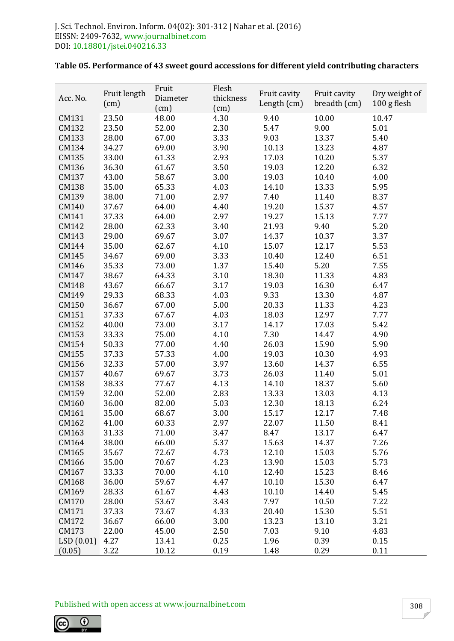| Acc. No.  | Fruit length | Fruit<br>Diameter | Flesh<br>thickness | Fruit cavity | Fruit cavity | Dry weight of |
|-----------|--------------|-------------------|--------------------|--------------|--------------|---------------|
|           | (cm)         | (cm)              | (cm)               | Length (cm)  | breadth (cm) | 100 g flesh   |
| CM131     | 23.50        | 48.00             | 4.30               | 9.40         | 10.00        | 10.47         |
| CM132     | 23.50        | 52.00             | 2.30               | 5.47         | 9.00         | 5.01          |
| CM133     | 28.00        | 67.00             | 3.33               | 9.03         | 13.37        | 5.40          |
| CM134     | 34.27        | 69.00             | 3.90               | 10.13        | 13.23        | 4.87          |
| CM135     | 33.00        | 61.33             | 2.93               | 17.03        | 10.20        | 5.37          |
| CM136     | 36.30        | 61.67             | 3.50               | 19.03        | 12.20        | 6.32          |
| CM137     | 43.00        | 58.67             | 3.00               | 19.03        | 10.40        | 4.00          |
| CM138     | 35.00        | 65.33             | 4.03               | 14.10        | 13.33        | 5.95          |
| CM139     | 38.00        | 71.00             | 2.97               | 7.40         | 11.40        | 8.37          |
| CM140     | 37.67        | 64.00             | 4.40               | 19.20        | 15.37        | 4.57          |
| CM141     | 37.33        | 64.00             | 2.97               | 19.27        | 15.13        | 7.77          |
| CM142     | 28.00        | 62.33             | 3.40               | 21.93        | 9.40         | 5.20          |
| CM143     | 29.00        | 69.67             | 3.07               | 14.37        | 10.37        | 3.37          |
| CM144     | 35.00        | 62.67             | 4.10               | 15.07        | 12.17        | 5.53          |
| CM145     | 34.67        | 69.00             | 3.33               | 10.40        | 12.40        | 6.51          |
| CM146     | 35.33        | 73.00             | 1.37               | 15.40        | 5.20         | 7.55          |
| CM147     | 38.67        | 64.33             | 3.10               | 18.30        | 11.33        | 4.83          |
| CM148     | 43.67        | 66.67             | 3.17               | 19.03        | 16.30        | 6.47          |
| CM149     | 29.33        | 68.33             | 4.03               | 9.33         | 13.30        | 4.87          |
| CM150     | 36.67        | 67.00             | 5.00               | 20.33        | 11.33        | 4.23          |
| CM151     | 37.33        | 67.67             | 4.03               | 18.03        | 12.97        | 7.77          |
| CM152     | 40.00        | 73.00             | 3.17               | 14.17        | 17.03        | 5.42          |
| CM153     | 33.33        | 75.00             | 4.10               | 7.30         | 14.47        | 4.90          |
| CM154     | 50.33        | 77.00             | 4.40               | 26.03        | 15.90        | 5.90          |
| CM155     | 37.33        | 57.33             | 4.00               | 19.03        | 10.30        | 4.93          |
| CM156     | 32.33        | 57.00             | 3.97               | 13.60        | 14.37        | 6.55          |
| CM157     | 40.67        | 69.67             | 3.73               | 26.03        | 11.40        | 5.01          |
| CM158     | 38.33        | 77.67             | 4.13               | 14.10        | 18.37        | 5.60          |
| CM159     | 32.00        | 52.00             | 2.83               | 13.33        | 13.03        | 4.13          |
| CM160     | 36.00        | 82.00             | 5.03               | 12.30        | 18.13        | 6.24          |
| CM161     | 35.00        | 68.67             | 3.00               | 15.17        | 12.17        | 7.48          |
| CM162     | 41.00        | 60.33             | 2.97               | 22.07        | 11.50        | 8.41          |
| CM163     | 31.33        | 71.00             | 3.47               | 8.47         | 13.17        | 6.47          |
| CM164     | 38.00        | 66.00             | 5.37               | 15.63        | 14.37        | 7.26          |
| CM165     | 35.67        | 72.67             | 4.73               | 12.10        | 15.03        | 5.76          |
| CM166     | 35.00        | 70.67             | 4.23               | 13.90        | 15.03        | 5.73          |
| CM167     | 33.33        | 70.00             | 4.10               | 12.40        | 15.23        | 8.46          |
| CM168     | 36.00        | 59.67             | 4.47               | 10.10        | 15.30        | 6.47          |
| CM169     | 28.33        | 61.67             | 4.43               | 10.10        | 14.40        | 5.45          |
| CM170     | 28.00        | 53.67             | 3.43               | 7.97         | 10.50        | 7.22          |
| CM171     | 37.33        | 73.67             | 4.33               | 20.40        | 15.30        | 5.51          |
| CM172     | 36.67        | 66.00             | 3.00               | 13.23        | 13.10        | 3.21          |
| CM173     | 22.00        | 45.00             | 2.50               | 7.03         | 9.10         | 4.83          |
| LSD(0.01) | 4.27         | 13.41             | 0.25               | 1.96         | 0.39         | 0.15          |
| (0.05)    | 3.22         | 10.12             | 0.19               | 1.48         | 0.29         | 0.11          |

# **Table 05. Performance of 43 sweet gourd accessions for different yield contributing characters**

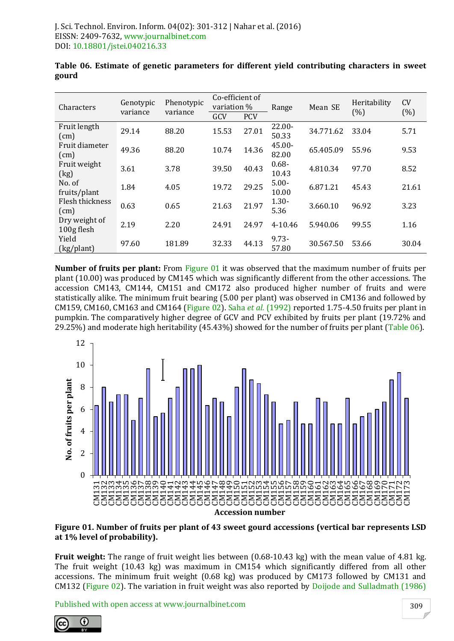| Characters                  | Genotypic | Phenotypic | Co-efficient of<br>variation % |            | Range              | Mean SE   | Heritability                                              | <b>CV</b> |  |
|-----------------------------|-----------|------------|--------------------------------|------------|--------------------|-----------|-----------------------------------------------------------|-----------|--|
|                             | variance  | variance   | GCV                            | <b>PCV</b> |                    |           | (%)<br>33.04<br>55.96<br>97.70<br>45.43<br>96.92<br>99.55 | (%)       |  |
| Fruit length<br>(cm)        | 29.14     | 88.20      | 15.53                          | 27.01      | $22.00 -$<br>50.33 | 34.771.62 |                                                           | 5.71      |  |
| Fruit diameter<br>(cm)      | 49.36     | 88.20      | 10.74                          | 14.36      | $45.00 -$<br>82.00 | 65.405.09 |                                                           | 9.53      |  |
| Fruit weight<br>(kg)        | 3.61      | 3.78       | 39.50                          | 40.43      | $0.68 -$<br>10.43  | 4.810.34  |                                                           | 8.52      |  |
| No. of<br>fruits/plant      | 1.84      | 4.05       | 19.72                          | 29.25      | $5.00 -$<br>10.00  | 6.871.21  |                                                           | 21.61     |  |
| Flesh thickness<br>(cm)     | 0.63      | 0.65       | 21.63                          | 21.97      | $1.30 -$<br>5.36   | 3.660.10  |                                                           | 3.23      |  |
| Dry weight of<br>100g flesh | 2.19      | 2.20       | 24.91                          | 24.97      | 4-10.46            | 5.940.06  |                                                           | 1.16      |  |
| Yield<br>(kg/plant)         | 97.60     | 181.89     | 32.33                          | 44.13      | $9.73 -$<br>57.80  | 30.567.50 | 53.66                                                     | 30.04     |  |

|       |  |  | Table 06. Estimate of genetic parameters for different yield contributing characters in sweet |  |  |
|-------|--|--|-----------------------------------------------------------------------------------------------|--|--|
| gourd |  |  |                                                                                               |  |  |

**Number of fruits per plant:** From Figure 01 it was observed that the maximum number of fruits per plant (10.00) was produced by CM145 which was significantly different from the other accessions. The accession CM143, CM144, CM151 and CM172 also produced higher number of fruits and were statistically alike. The minimum fruit bearing (5.00 per plant) was observed in CM136 and followed by CM159, CM160, CM163 and CM164 (Figure 02). Saha *et al.* (1992) reported 1.75-4.50 fruits per plant in pumpkin. The comparatively higher degree of GCV and PCV exhibited by fruits per plant (19.72% and 29.25%) and moderate high heritability (45.43%) showed for the number of fruits per plant (Table 06).



**Figure 01. Number of fruits per plant of 43 sweet gourd accessions (vertical bar represents LSD at 1% level of probability).**

**Fruit weight:** The range of fruit weight lies between (0.68-10.43 kg) with the mean value of 4.81 kg. The fruit weight (10.43 kg) was maximum in CM154 which significantly differed from all other accessions. The minimum fruit weight (0.68 kg) was produced by CM173 followed by CM131 and CM132 (Figure 02). The variation in fruit weight was also reported by Doijode and Sulladmath (1986)

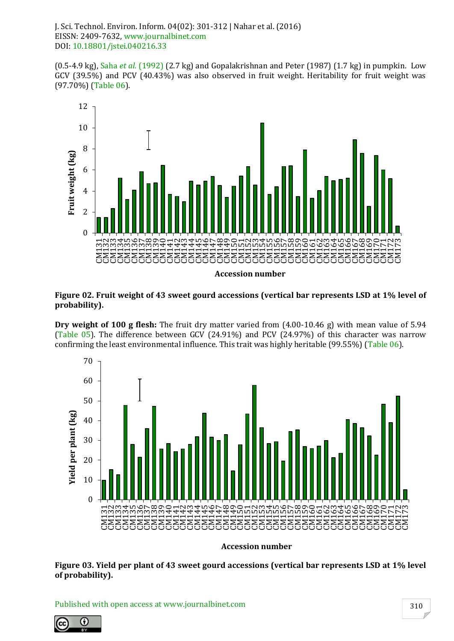(0.5-4.9 kg), Saha *et al.* (1992) (2.7 kg) and Gopalakrishnan and Peter (1987) (1.7 kg) in pumpkin. Low GCV (39.5%) and PCV (40.43%) was also observed in fruit weight. Heritability for fruit weight was (97.70%) (Table 06).



**Accession number**

#### **Figure 02. Fruit weight of 43 sweet gourd accessions (vertical bar represents LSD at 1% level of probability).**

**Dry weight of 100 g flesh:** The fruit dry matter varied from (4.00-10.46 g) with mean value of 5.94 (Table 05). The difference between GCV (24.91%) and PCV (24.97%) of this character was narrow confirming the least environmental influence. This trait was highly heritable (99.55%) (Table 06).



**Accession number**

**Figure 03. Yield per plant of 43 sweet gourd accessions (vertical bar represents LSD at 1% level of probability).**

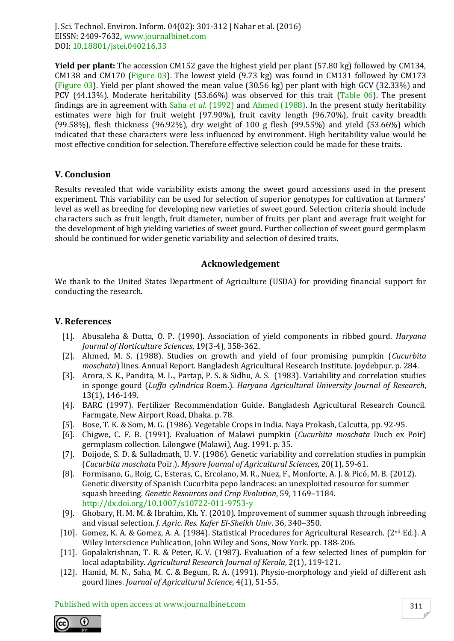**Yield per plant:** The accession CM152 gave the highest yield per plant (57.80 kg) followed by CM134, CM138 and CM170 (Figure 03). The lowest yield (9.73 kg) was found in CM131 followed by CM173 (Figure 03). Yield per plant showed the mean value (30.56 kg) per plant with high GCV (32.33%) and PCV (44.13%). Moderate heritability (53.66%) was observed for this trait (Table 06). The present findings are in agreement with Saha *et al.* (1992) and Ahmed (1988). In the present study heritability estimates were high for fruit weight (97.90%), fruit cavity length (96.70%), fruit cavity breadth (99.58%), flesh thickness (96.92%), dry weight of 100 g flesh (99.55%) and yield (53.66%) which indicated that these characters were less influenced by environment. High heritability value would be most effective condition for selection. Therefore effective selection could be made for these traits.

# **V. Conclusion**

Results revealed that wide variability exists among the sweet gourd accessions used in the present experiment. This variability can be used for selection of superior genotypes for cultivation at farmers' level as well as breeding for developing new varieties of sweet gourd. Selection criteria should include characters such as fruit length, fruit diameter, number of fruits per plant and average fruit weight for the development of high yielding varieties of sweet gourd. Further collection of sweet gourd germplasm should be continued for wider genetic variability and selection of desired traits.

#### **Acknowledgement**

We thank to the United States Department of Agriculture (USDA) for providing financial support for conducting the research.

#### **V. References**

- [1]. Abusaleha & Dutta, O. P. (1990). Association of yield components in ribbed gourd. *Haryana Journal of Horticulture Sciences*, 19(3-4), 358-362.
- [2]. Ahmed, M. S. (1988). Studies on growth and yield of four promising pumpkin (*Cucurbita moschata*) lines. Annual Report. Bangladesh Agricultural Research Institute. Joydebpur. p. 284.
- [3]. Arora, S. K., Pandita, M. L., Partap, P. S. & Sidhu, A. S. (1983). Variability and correlation studies in sponge gourd (*Luffa cylindrica* Roem.). *Haryana Agricultural University Journal of Research*, 13(1), 146-149.
- [4]. BARC (1997). Fertilizer Recommendation Guide. Bangladesh Agricultural Research Council. Farmgate, New Airport Road, Dhaka. p. 78.
- [5]. Bose, T. K. & Som, M. G. (1986). Vegetable Crops in India. Naya Prokash, Calcutta, pp. 92-95.
- [6]. Chigwe, C. F. B. (1991). Evaluation of Malawi pumpkin (*Cucurbita moschata* Duch ex Poir) germplasm collection. Lilongwe (Malawi), Aug. 1991. p. 35.
- [7]. Doijode, S. D. & Sulladmath, U. V. (1986). Genetic variability and correlation studies in pumpkin (*Cucurbita moschata* Poir.). *Mysore Journal of Agricultural Sciences*, 20(1), 59-61.
- [8]. Formisano, G., Roig, C., Esteras, C., Ercolano, M. R., Nuez, F., Monforte, A. J. & Picó, M. B. (2012). Genetic diversity of Spanish Cucurbita pepo landraces: an unexploited resource for summer squash breeding. *Genetic Resources and Crop Evolution*, 59, 1169–1184. http://dx.doi.org/10.1007/s10722-011-9753-y
- [9]. Ghobary, H. M. M. & Ibrahim, Kh. Y. (2010). Improvement of summer squash through inbreeding and visual selection. *J. Agric. Res. Kafer El-Sheikh Univ*. 36, 340–350.
- [10]. Gomez, K. A. & Gomez, A. A. (1984). Statistical Procedures for Agricultural Research. (2nd Ed.). A Wiley Interscience Publication, John Wiley and Sons, Now York. pp. 188-206.
- [11]. Gopalakrishnan, T. R. & Peter, K. V. (1987). Evaluation of a few selected lines of pumpkin for local adaptability. *Agricultural Research Journal of Kerala*, 2(1), 119-121.
- [12]. Hamid, M. N., Saha, M. C. & Begum, R. A. (1991). Physio-morphology and yield of different ash gourd lines. *Journal of Agricultural Science,* 4(1), 51-55.